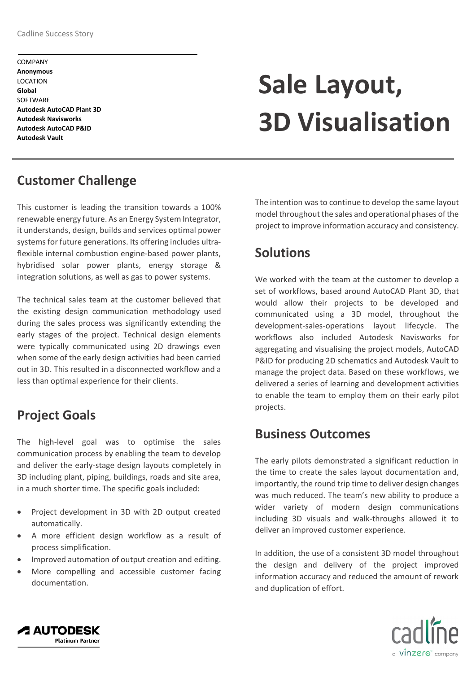COMPANY **Anonymous** LOCATION **Global SOFTWARE Autodesk AutoCAD Plant 3D Autodesk Navisworks Autodesk AutoCAD P&ID Autodesk Vault**

# **Sale Layout, 3D Visualisation**

### **Customer Challenge**

This customer is leading the transition towards a 100% renewable energy future. As an Energy System Integrator, it understands, design, builds and services optimal power systems for future generations. Its offering includes ultraflexible internal combustion engine-based power plants, hybridised solar power plants, energy storage & integration solutions, as well as gas to power systems.

The technical sales team at the customer believed that the existing design communication methodology used during the sales process was significantly extending the early stages of the project. Technical design elements were typically communicated using 2D drawings even when some of the early design activities had been carried out in 3D. This resulted in a disconnected workflow and a less than optimal experience for their clients.

### **Project Goals**

The high-level goal was to optimise the sales communication process by enabling the team to develop and deliver the early-stage design layouts completely in 3D including plant, piping, buildings, roads and site area, in a much shorter time. The specific goals included:

- Project development in 3D with 2D output created automatically.
- A more efficient design workflow as a result of process simplification.
- Improved automation of output creation and editing.
- More compelling and accessible customer facing documentation.

The intention was to continue to develop the same layout model throughout the sales and operational phases of the project to improve information accuracy and consistency.

## **Solutions**

We worked with the team at the customer to develop a set of workflows, based around AutoCAD Plant 3D, that would allow their projects to be developed and communicated using a 3D model, throughout the development-sales-operations layout lifecycle. The workflows also included Autodesk Navisworks for aggregating and visualising the project models, AutoCAD P&ID for producing 2D schematics and Autodesk Vault to manage the project data. Based on these workflows, we delivered a series of learning and development activities to enable the team to employ them on their early pilot projects.

#### **Business Outcomes**

The early pilots demonstrated a significant reduction in the time to create the sales layout documentation and, importantly, the round trip time to deliver design changes was much reduced. The team's new ability to produce a wider variety of modern design communications including 3D visuals and walk-throughs allowed it to deliver an improved customer experience.

In addition, the use of a consistent 3D model throughout the design and delivery of the project improved information accuracy and reduced the amount of rework and duplication of effort.